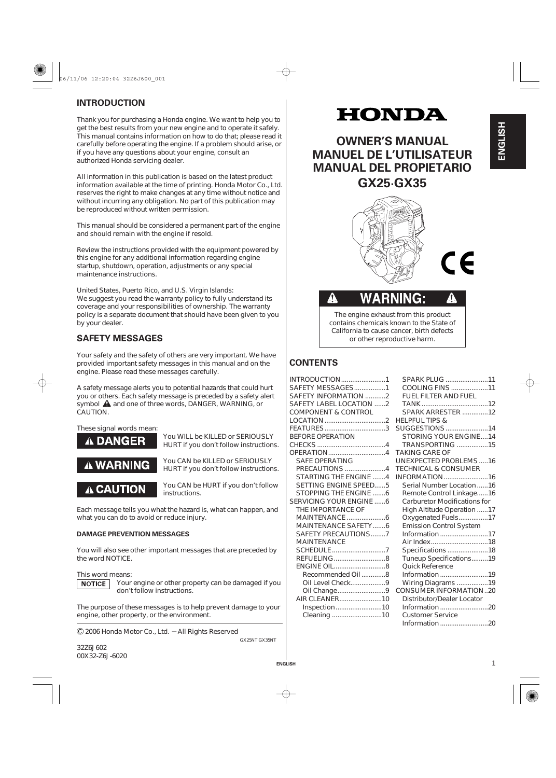# **INTRODUCTION**

Thank you for purchasing a Honda engine. We want to help you to get the best results from your new engine and to operate it safely. This manual contains information on how to do that; please read it carefully before operating the engine. If a problem should arise, or if you have any questions about your engine, consult an authorized Honda servicing dealer.

All information in this publication is based on the latest product information available at the time of printing. Honda Motor Co., Ltd. reserves the right to make changes at any time without notice and without incurring any obligation. No part of this publication may be reproduced without written permission.

This manual should be considered a permanent part of the engine and should remain with the engine if resold.

Review the instructions provided with the equipment powered by this engine for any additional information regarding engine startup, shutdown, operation, adjustments or any special maintenance instructions.

We suggest you read the warranty policy to fully understand its coverage and your responsibilities of ownership. The warranty policy is a separate document that should have been given to you by your dealer. United States, Puerto Rico, and U.S. Virgin Islands:

# **SAFETY MESSAGES**

Your safety and the safety of others are very important. We have provided important safety messages in this manual and on the engine. Please read these messages carefully.

A safety message alerts you to potential hazards that could hurt you or others. Each safety message is preceded by a safety alert symbol  $\triangle$  and one of three words, DANGER, WARNING, or CAUTION.

# These signal words mean: **DANGER**

You WILL be KILLED or SERIOUSLY HURT if you don't follow instructions.



You CAN be KILLED or SERIOUSLY HURT if you don't follow instructions.

A CAUTION

You CAN be HURT if you don't follow instructions.

Each message tells you what the hazard is, what can happen, and what you can do to avoid or reduce injury.

# **DAMAGE PREVENTION MESSAGES**

You will also see other important messages that are preceded by the word NOTICE.

#### This word means:

**NOTICE** 

Your engine or other property can be damaged if you don't follow instructions.

The purpose of these messages is to help prevent damage to your engine, other property, or the environment.

2006 Honda Motor Co., Ltd. — All Rights Reserved

32Z6J602 00X32-Z6J-6020

# HONDA

**OWNER'S MANUAL MANUEL DE L'UTILISATEUR MANUAL DEL PROPIETARIO GX25·GX35**



**ENGLISH** ENGLISH



The engine exhaust from this product contains chemicals known to the State of California to cause cancer, birth defects or other reproductive harm.

# **CONTENTS**

ĄN

**ENGLISH**

GX25NT·GX35NT

| INTRODUCTION1                  |   |
|--------------------------------|---|
| SAFETY MESSAGES1               |   |
| SAFETY INFORMATION 2           |   |
| SAFETY LABEL LOCATION 2        |   |
| <b>COMPONENT &amp; CONTROL</b> |   |
|                                | H |
| FEATURES3                      | S |
| <b>BEFORE OPERATION</b>        |   |
|                                |   |
| OPERATION4                     | Т |
| <b>SAFE OPERATING</b>          | Ù |
| <b>PRECAUTIONS</b> 4           | T |
| STARTING THE FNGINE  4         | П |
| <b>SETTING ENGINE SPEED5</b>   |   |
| STOPPING THE ENGINE 6          |   |
| SERVICING YOUR ENGINE 6        |   |
| THE IMPORTANCE OF              |   |
|                                |   |
| <b>MAINTENANCE SAFETY6</b>     |   |
| SAFETY PRECAUTIONS7            |   |
| <b>MAINTENANCE</b>             |   |
|                                |   |
| REFUELING8                     |   |
| <b>ENGINE OIL8</b>             |   |
| Recommended Oil8               |   |
| Oil Level Check9               |   |
| Oil Change9                    | C |
| AIR CLEANER10                  |   |
| Inspection10                   |   |
|                                |   |
|                                |   |

| SPARK PLUG 11                       |  |
|-------------------------------------|--|
| COOLING FINS 11                     |  |
| FUEL FILTER AND FUEL                |  |
|                                     |  |
| SPARK ARRESTER 12                   |  |
| <b>HELPFUL TIPS &amp;</b>           |  |
| SUGGESTIONS 14                      |  |
| <b>STORING YOUR ENGINE14</b>        |  |
| <b>TRANSPORTING</b> 15              |  |
| <b>TAKING CARE OF</b>               |  |
| UNEXPECTED PROBLEMS16               |  |
| <b>TECHNICAL &amp; CONSUMER</b>     |  |
| INFORMATION16                       |  |
| Serial Number Location16            |  |
| Remote Control Linkage16            |  |
| <b>Carburetor Modifications for</b> |  |
| High Altitude Operation 17          |  |
| Oxygenated Fuels17                  |  |
| <b>Emission Control System</b>      |  |
| Information 17                      |  |
| Air Index18                         |  |
| Specifications 18                   |  |
| Tuneup Specifications19             |  |
| <b>Ouick Reference</b>              |  |
| Information19                       |  |
| Wiring Diagrams 19                  |  |
| <b>CONSUMER INFORMATION20</b>       |  |
| <b>Distributor/Dealer Locator</b>   |  |
| Information 20                      |  |
| <b>Customer Service</b>             |  |
| Information 20                      |  |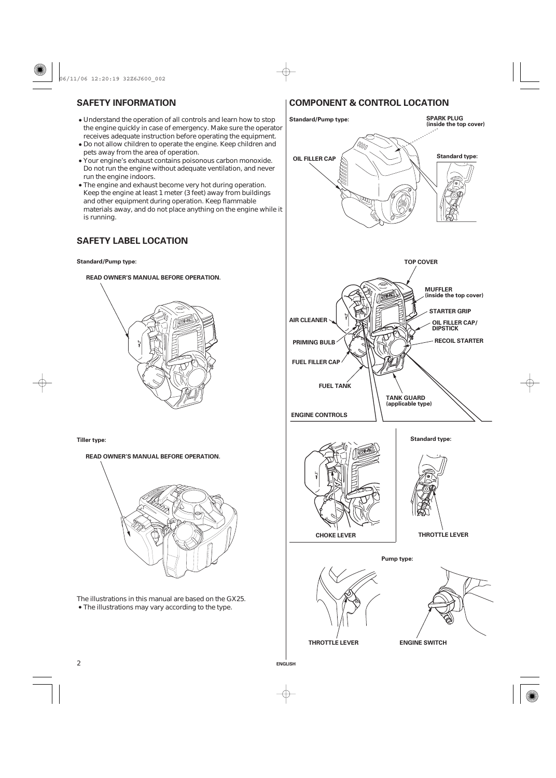- Understand the operation of all controls and learn how to stop the engine quickly in case of emergency. Make sure the operator receives adequate instruction before operating the equipment.
- Do not allow children to operate the engine. Keep children and pets away from the area of operation.
- Your engine's exhaust contains poisonous carbon monoxide. Do not run the engine without adequate ventilation, and never run the engine indoors.
- The engine and exhaust become very hot during operation. Keep the engine at least 1 meter (3 feet) away from buildings and other equipment during operation. Keep flammable materials away, and do not place anything on the engine while it is running.

# **SAFETY LABEL LOCATION**

#### **Standard/Pump type:**

# **READ OWNER'S MANUAL BEFORE OPERATION.**

**Tiller type:**

2

**READ OWNER'S MANUAL BEFORE OPERATION.**



The illustrations may vary according to the type. The illustrations in this manual are based on the GX25.

# **SAFETY INFORMATION COMPONENT & CONTROL LOCATION**

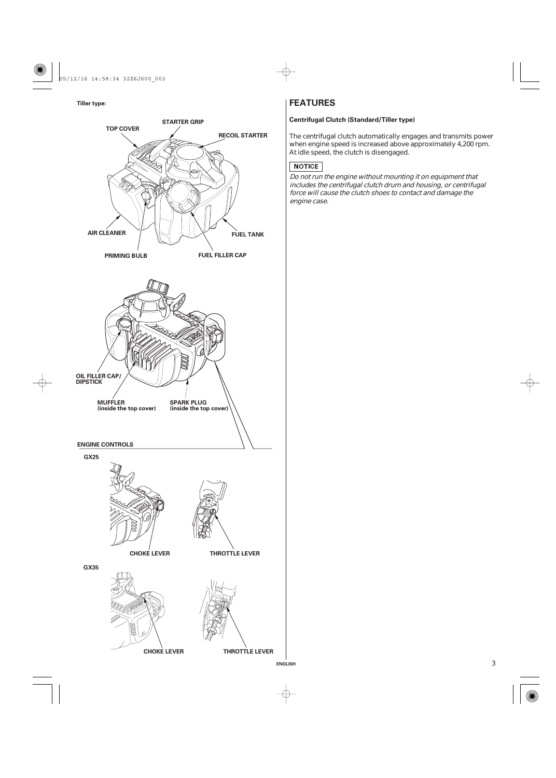05/12/16 14:58:34 32Z6J600\_003

# **Tiller type:**



# **FEATURES**

The centrifugal clutch automatically engages and transmits power when engine speed is increased above approximately 4,200 rpm. At idle speed, the clutch is disengaged.

# NOTICE

Do not run the engine without mounting it on equipment that includes the centrifugal clutch drum and housing, or centrifugal force will cause the clutch shoes to contact and damage the engine case.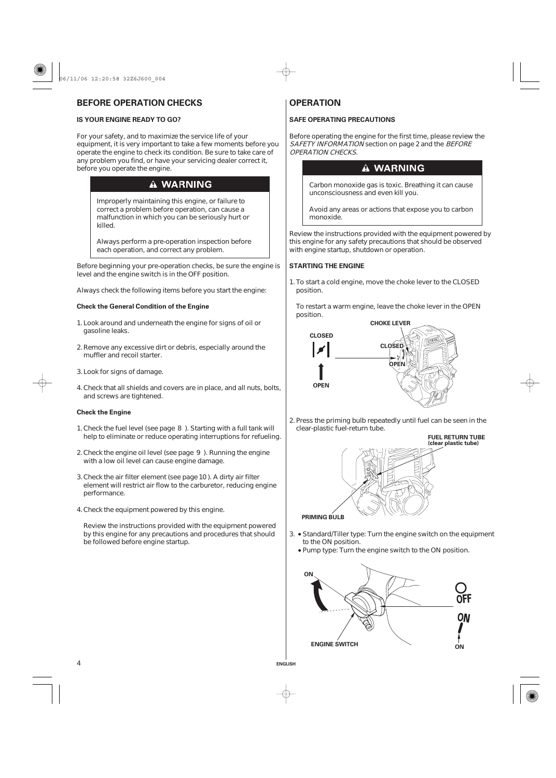# **BEFORE OPERATION CHECKS OPERATION**

For your safety, and to maximize the service life of your equipment, it is very important to take a few moments before you operate the engine to check its condition. Be sure to take care of any problem you find, or have your servicing dealer correct it, before you operate the engine.

# **A WARNING**

Improperly maintaining this engine, or failure to correct a problem before operation, can cause a malfunction in which you can be seriously hurt or killed.

Always perform a pre-operation inspection before each operation, and correct any problem.

Before beginning your pre-operation checks, be sure the engine is level and the engine switch is in the OFF position.

Always check the following items before you start the engine:

# **Check the General Condition of the Engine**

- 1. Look around and underneath the engine for signs of oil or gasoline leaks.
- 2. Remove any excessive dirt or debris, especially around the muffler and recoil starter.
- 3. Look for signs of damage.
- Check that all shields and covers are in place, and all nuts, bolts, 4. and screws are tightened.

#### **Check the Engine**

4

- 1. Check the fuel level (see page 8). Starting with a full tank will help to eliminate or reduce operating interruptions for refueling.
- 2. Check the engine oil level (see page 9). Running the engine with a low oil level can cause engine damage.
- 3. Check the air filter element (see page 10). A dirty air filter element will restrict air flow to the carburetor, reducing engine performance.
- Check the equipment powered by this engine. 4.

Review the instructions provided with the equipment powered by this engine for any precautions and procedures that should be followed before engine startup.

# **IS YOUR ENGINE READY TO GO?** SAFE OPERATING PRECAUTIONS

Before operating the engine for the first time, please review the SAFETY INFORMATION section on page 2 and the BEFORE OPERATION CHECKS.

# **A WARNING**

Carbon monoxide gas is toxic. Breathing it can cause unconsciousness and even kill you.

Avoid any areas or actions that expose you to carbon monoxide.

Review the instructions provided with the equipment powered by this engine for any safety precautions that should be observed with engine startup, shutdown or operation.

# **STARTING THE ENGINE**

1. To start a cold engine, move the choke lever to the CLOSED position.

To restart a warm engine, leave the choke lever in the OPEN position.



2. Press the priming bulb repeatedly until fuel can be seen in the clear-plastic fuel-return tube.

**FUEL RETURN TUBE (clear plastic tube) PRIMING BULB**

- 3. Standard/Tiller type: Turn the engine switch on the equipment to the ON position.
	- Pump type: Turn the engine switch to the ON position.

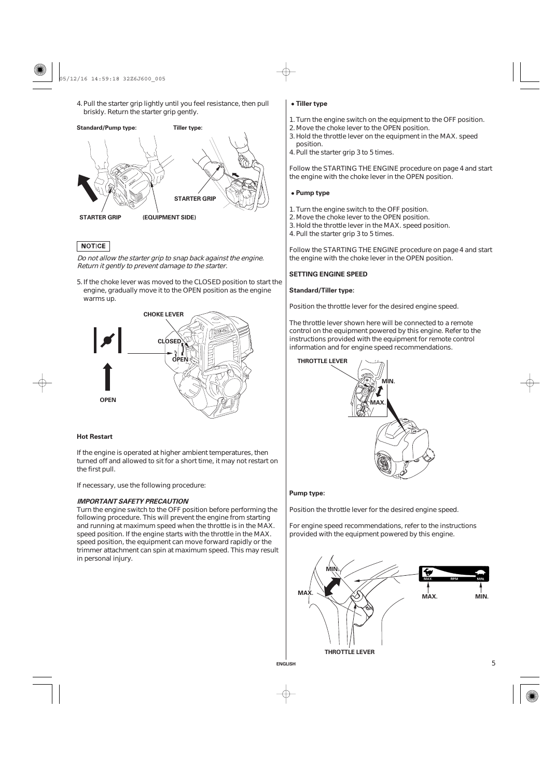05/12/16 14:59:18 32Z6J600\_005

4. Pull the starter grip lightly until you feel resistance, then pull briskly. Return the starter grip gently.

**Standard/Pump type: Tiller type:**



# **NOTICE**

Do not allow the starter grip to snap back against the engine. Return it gently to prevent damage to the starter.

5. If the choke lever was moved to the CLOSED position to start the engine, gradually move it to the OPEN position as the engine warms up.



# **Hot Restart**

If the engine is operated at higher ambient temperatures, then turned off and allowed to sit for a short time, it may not restart on the first pull.

If necessary, use the following procedure:

# **IMPORTANT SAFETY PRECAUTION**

Turn the engine switch to the OFF position before performing the following procedure. This will prevent the engine from starting and running at maximum speed when the throttle is in the MAX. speed position. If the engine starts with the throttle in the MAX. speed position, the equipment can move forward rapidly or the trimmer attachment can spin at maximum speed. This may result in personal injury.

#### **Tiller type**

- Turn the engine switch on the equipment to the OFF position. 1.
- 2. Move the choke lever to the OPEN position.
	- 3. Hold the throttle lever on the equipment in the MAX. speed position.

4. Pull the starter grip 3 to 5 times.

Follow the STARTING THE ENGINE procedure on page 4 and start the engine with the choke lever in the OPEN position.

# **Pump type**

- 1. Turn the engine switch to the OFF position.
- 2. Move the choke lever to the OPEN position.
- 3. Hold the throttle lever in the MAX. speed position.
- 4. Pull the starter grip 3 to 5 times.

Follow the STARTING THE ENGINE procedure on page 4 and start the engine with the choke lever in the OPEN position.

#### **SETTING ENGINE SPEED**

# **Standard/Tiller type:**

Position the throttle lever for the desired engine speed.

The throttle lever shown here will be connected to a remote control on the equipment powered by this engine. Refer to the instructions provided with the equipment for remote control information and for engine speed recommendations.



#### **Pump type:**

Position the throttle lever for the desired engine speed.

For engine speed recommendations, refer to the instructions provided with the equipment powered by this engine.



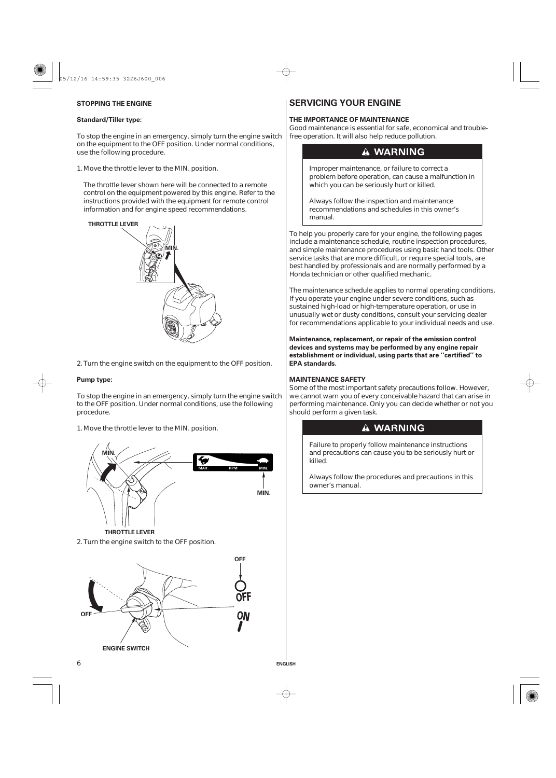# **STOPPING THE ENGINE**

# **Standard/Tiller type:**

To stop the engine in an emergency, simply turn the engine switch on the equipment to the OFF position. Under normal conditions, use the following procedure.

1. Move the throttle lever to the MIN. position.

The throttle lever shown here will be connected to a remote control on the equipment powered by this engine. Refer to the instructions provided with the equipment for remote control information and for engine speed recommendations.



2. Turn the engine switch on the equipment to the OFF position.

#### **Pump type:**

To stop the engine in an emergency, simply turn the engine switch to the OFF position. Under normal conditions, use the following procedure.

1. Move the throttle lever to the MIN. position.





# **SERVICING YOUR ENGINE**

# **THE IMPORTANCE OF MAINTENANCE**

Good maintenance is essential for safe, economical and troublefree operation. It will also help reduce pollution.

# **A WARNING**

Improper maintenance, or failure to correct a problem before operation, can cause a malfunction in which you can be seriously hurt or killed.

Always follow the inspection and maintenance recommendations and schedules in this owner's manual.

To help you properly care for your engine, the following pages include a maintenance schedule, routine inspection procedures, and simple maintenance procedures using basic hand tools. Other service tasks that are more difficult, or require special tools, are best handled by professionals and are normally performed by a Honda technician or other qualified mechanic.

The maintenance schedule applies to normal operating conditions. If you operate your engine under severe conditions, such as sustained high-load or high-temperature operation, or use in unusually wet or dusty conditions, consult your servicing dealer for recommendations applicable to your individual needs and use.

**Maintenance, replacement, or repair of the emission control devices and systems may be performed by any engine repair establishment or individual, using parts that are ''certified'' to EPA standards.**

# **MAINTENANCE SAFETY**

**ENGLISH**

Some of the most important safety precautions follow. However, we cannot warn you of every conceivable hazard that can arise in performing maintenance. Only you can decide whether or not you should perform a given task.

# **A WARNING**

Failure to properly follow maintenance instructions and precautions can cause you to be seriously hurt or killed.

Always follow the procedures and precautions in this owner's manual.

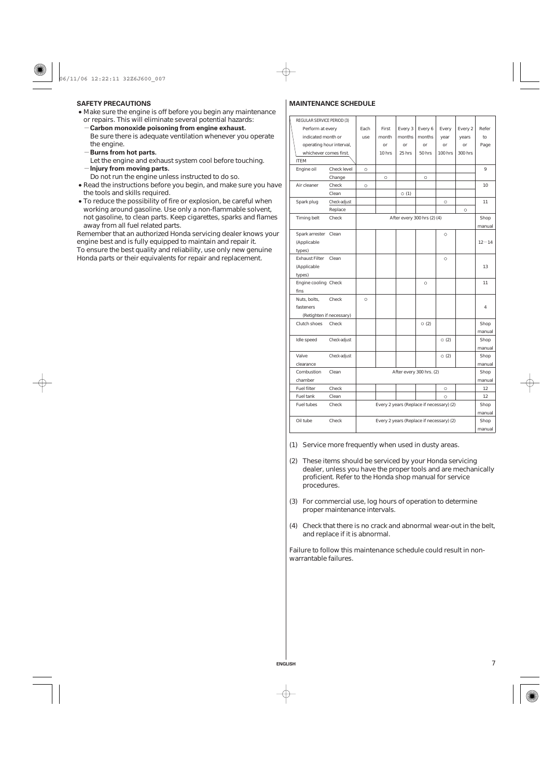- Make sure the engine is off before you begin any maintenance or repairs. This will eliminate several potential hazards:
	- **Carbon monoxide poisoning from engine exhaust.** Be sure there is adequate ventilation whenever you operate the engine.
	- **Burns from hot parts.**
	- **Injury from moving parts.** Let the engine and exhaust system cool before touching.
- Do not run the engine unless instructed to do so.
- Read the instructions before you begin, and make sure you have the tools and skills required.
- To reduce the possibility of fire or explosion, be careful when working around gasoline. Use only a non-flammable solvent, not gasoline, to clean parts. Keep cigarettes, sparks and flames away from all fuel related parts.

Remember that an authorized Honda servicing dealer knows your engine best and is fully equipped to maintain and repair it. To ensure the best quality and reliability, use only new genuine Honda parts or their equivalents for repair and replacement.

# **SAFETY PRECAUTIONS MAINTENANCE SCHEDULE**

| REGULAR SERVICE PERIOD (3) |                                                   |                                          |         |                             |               |                |         |           |
|----------------------------|---------------------------------------------------|------------------------------------------|---------|-----------------------------|---------------|----------------|---------|-----------|
| Perform at every           |                                                   | Each                                     | First   | Every 3                     | Every 6       | Every          | Every 2 | Refer     |
| indicated month or         |                                                   | use                                      | month   | months                      | months        | year           | years   | to        |
|                            | operating hour interval,                          |                                          | or      | <sub>or</sub>               | <sub>or</sub> | or             | or      | Page      |
| whichever comes first.     |                                                   |                                          | 10 hrs  | 25 hrs                      | 50 hrs        | <b>100 hrs</b> | 300 hrs |           |
| <b>ITEM</b>                |                                                   |                                          |         |                             |               |                |         |           |
| Engine oil                 | Check level                                       | $\circ$                                  |         |                             |               |                |         | 9         |
|                            | Change                                            |                                          | $\circ$ |                             | $\circ$       |                |         |           |
| Air cleaner                | Check                                             | $\circ$                                  |         |                             |               |                |         | 10        |
|                            | Clean                                             |                                          |         | $\circ$ (1)                 |               |                |         |           |
| Spark plug                 | Check-adjust                                      |                                          |         |                             |               | $\circ$        |         | 11        |
|                            | Replace                                           |                                          |         |                             |               |                | $\circ$ |           |
| Timing belt                | Check                                             |                                          |         | After every 300 hrs (2) (4) |               |                |         | Shop      |
|                            |                                                   |                                          |         |                             |               |                |         | manual    |
| Spark arrester             | Clean                                             |                                          |         |                             |               | O              |         |           |
| (Applicable                |                                                   |                                          |         |                             |               |                |         | $12 - 14$ |
| types)                     |                                                   |                                          |         |                             |               |                |         |           |
| <b>Exhaust Filter</b>      | Clean                                             |                                          |         |                             |               | $\circ$        |         |           |
| (Applicable                |                                                   |                                          |         |                             |               |                |         | 13        |
| types)                     |                                                   |                                          |         |                             |               |                |         |           |
| Engine cooling Check       |                                                   |                                          |         |                             | $\circ$       |                |         | 11        |
| fins                       |                                                   |                                          |         |                             |               |                |         |           |
| Nuts, bolts,               | Check                                             | $\circ$                                  |         |                             |               |                |         |           |
| fasteners                  |                                                   |                                          |         |                             |               |                |         | 4         |
|                            | (Retighten if necessary)                          |                                          |         |                             |               |                |         |           |
| Clutch shoes               | Check                                             |                                          |         |                             | $\circ$ (2)   |                |         | Shop      |
|                            |                                                   |                                          |         |                             |               |                |         | manual    |
| Idle speed                 | Check-adjust                                      |                                          |         |                             |               | $\circ$ (2)    |         | Shop      |
|                            |                                                   |                                          |         |                             |               |                |         | manual    |
| Valve                      | Check-adjust                                      |                                          |         |                             |               | $\circ$ (2)    |         | Shop      |
| clearance                  |                                                   |                                          |         |                             |               |                |         | manual    |
| Combustion                 | Clean                                             |                                          |         | After every 300 hrs. (2)    |               |                |         | Shop      |
| chamber                    |                                                   |                                          |         |                             |               |                |         | manual    |
| <b>Fuel filter</b>         | Check                                             |                                          |         |                             |               | $\circ$        |         | 12        |
| Fuel tank                  | Clean                                             |                                          |         |                             |               | O              |         | 12        |
| Fuel tubes                 | Check<br>Every 2 years (Replace if necessary) (2) |                                          |         |                             | Shop          |                |         |           |
|                            |                                                   |                                          |         |                             |               | manual         |         |           |
| Oil tube                   | Check                                             | Every 2 years (Replace if necessary) (2) |         |                             |               | Shop           |         |           |
|                            |                                                   |                                          |         |                             |               | manual         |         |           |

(1) Service more frequently when used in dusty areas.

- These items should be serviced by your Honda servicing (2) dealer, unless you have the proper tools and are mechanically proficient. Refer to the Honda shop manual for service procedures.
- For commercial use, log hours of operation to determine (3) proper maintenance intervals.
- Check that there is no crack and abnormal wear-out in the belt, (4) and replace if it is abnormal.

7

Failure to follow this maintenance schedule could result in nonwarrantable failures.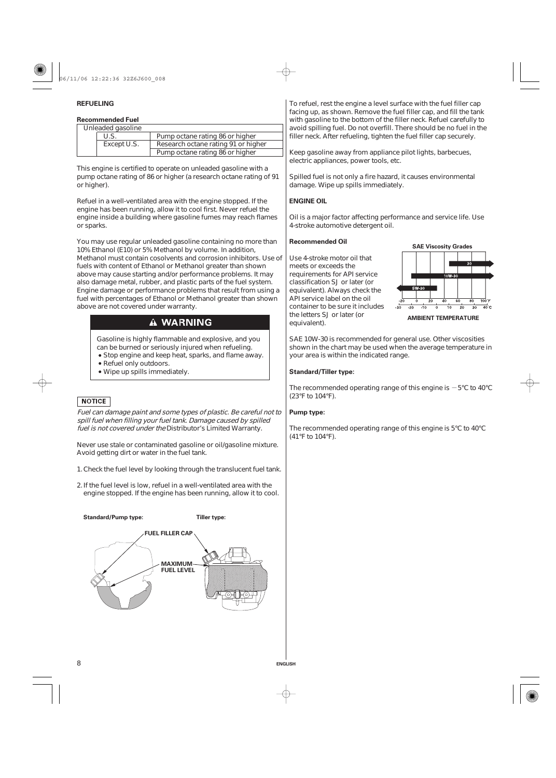# **REFUELING**

# **Recommended Fuel**

| Unleaded gasoline |                                     |
|-------------------|-------------------------------------|
| U.S.              | Pump octane rating 86 or higher     |
| Except U.S.       | Research octane rating 91 or higher |
|                   | Pump octane rating 86 or higher     |

This engine is certified to operate on unleaded gasoline with a pump octane rating of 86 or higher (a research octane rating of 91 or higher).

Refuel in a well-ventilated area with the engine stopped. If the engine has been running, allow it to cool first. Never refuel the engine inside a building where gasoline fumes may reach flames or sparks.

You may use regular unleaded gasoline containing no more than 10% Ethanol (E10) or 5% Methanol by volume. In addition, Methanol must contain cosolvents and corrosion inhibitors. Use of fuels with content of Ethanol or Methanol greater than shown above may cause starting and/or performance problems. It may also damage metal, rubber, and plastic parts of the fuel system. Engine damage or performance problems that result from using a fuel with percentages of Ethanol or Methanol greater than shown above are not covered under warranty.

# **A WARNING**

Gasoline is highly flammable and explosive, and you can be burned or seriously injured when refueling.

- **Stop engine and keep heat, sparks, and flame away.**
- Refuel only outdoors.
- Wipe up spills immediately.

# **NOTICE**

8

Fuel can damage paint and some types of plastic. Be careful not to spill fuel when filling your fuel tank. Damage caused by spilled fuel is not covered under the Distributor's Limited Warranty.

Never use stale or contaminated gasoline or oil/gasoline mixture. Avoid getting dirt or water in the fuel tank.

1. Check the fuel level by looking through the translucent fuel tank.

2. If the fuel level is low, refuel in a well-ventilated area with the engine stopped. If the engine has been running, allow it to cool.



To refuel, rest the engine a level surface with the fuel filler cap facing up, as shown. Remove the fuel filler cap, and fill the tank with gasoline to the bottom of the filler neck. Refuel carefully to avoid spilling fuel. Do not overfill. There should be no fuel in the filler neck. After refueling, tighten the fuel filler cap securely.

Keep gasoline away from appliance pilot lights, barbecues, electric appliances, power tools, etc.

Spilled fuel is not only a fire hazard, it causes environmental damage. Wipe up spills immediately.

#### **ENGINE OIL**

Oil is a major factor affecting performance and service life. Use 4-stroke automotive detergent oil.

## **Recommended Oil**

Use 4-stroke motor oil that meets or exceeds the requirements for API service classification SJ or later (or equivalent). Always check the API service label on the oil container to be sure it includes the letters SJ or later (or equivalent).

your area is within the indicated range.



SAE 10W-30 is recommended for general use. Other viscosities shown in the chart may be used when the average temperature in

#### **Standard/Tiller type:**

The recommended operating range of this engine is  $-5^{\circ}$ C to 40 $^{\circ}$ C (23°F to 104°F).

#### **Pump type:**

**ENGLISH**

The recommended operating range of this engine is 5°C to 40°C (41°F to 104°F).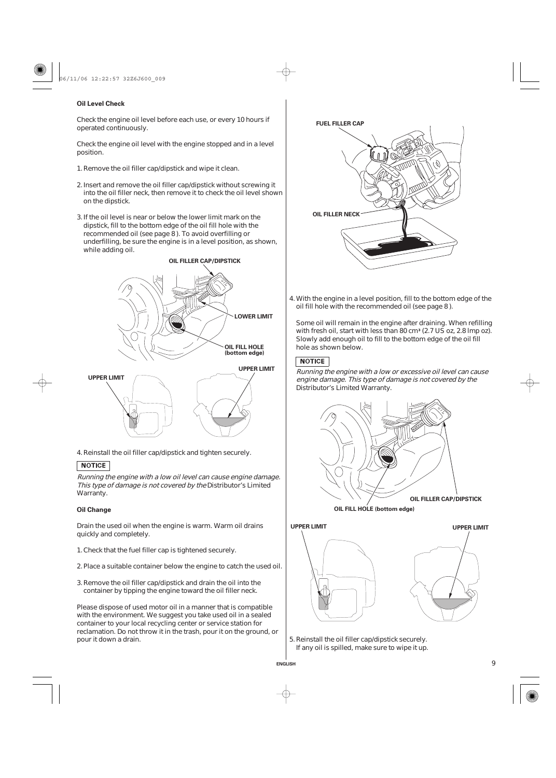# **Oil Level Check**

Check the engine oil level before each use, or every 10 hours if operated continuously.

Check the engine oil level with the engine stopped and in a level position.

- 1. Remove the oil filler cap/dipstick and wipe it clean.
- 2. Insert and remove the oil filler cap/dipstick without screwing it into the oil filler neck, then remove it to check the oil level shown on the dipstick.
- 3. If the oil level is near or below the lower limit mark on the dipstick, fill to the bottom edge of the oil fill hole with the recommended oil (see page 8 ). To avoid overfilling or underfilling, be sure the engine is in a level position, as shown, while adding oil.



4. Reinstall the oil filler cap/dipstick and tighten securely.

# **NOTICE**

Running the engine with <sup>a</sup> low oil level can cause engine damage. This type of damage is not covered by the Distributor's Limited Warranty.

# **Oil Change**

Drain the used oil when the engine is warm. Warm oil drains quickly and completely.

- 1. Check that the fuel filler cap is tightened securely.
- 2. Place a suitable container below the engine to catch the used oil.
- 3. Remove the oil filler cap/dipstick and drain the oil into the container by tipping the engine toward the oil filler neck.

Please dispose of used motor oil in a manner that is compatible with the environment. We suggest you take used oil in a sealed container to your local recycling center or service station for reclamation. Do not throw it in the trash, pour it on the ground, or pour it down a drain.



With the engine in a level position, fill to the bottom edge of the 4. oil fill hole with the recommended oil (see page 8).

Some oil will remain in the engine after draining. When refilling with fresh oil, start with less than 80 cm<sup>3</sup> (2.7 US oz, 2.8 lmp oz). Slowly add enough oil to fill to the bottom edge of the oil fill hole as shown below.

# **NOTICE**

Running the engine with <sup>a</sup> low or excessive oil level can cause engine damage. This type of damage is not covered by the Distributor's Limited Warranty.



**OIL FILL HOLE (bottom edge)**





5. Reinstall the oil filler cap/dipstick securely. If any oil is spilled, make sure to wipe it up.

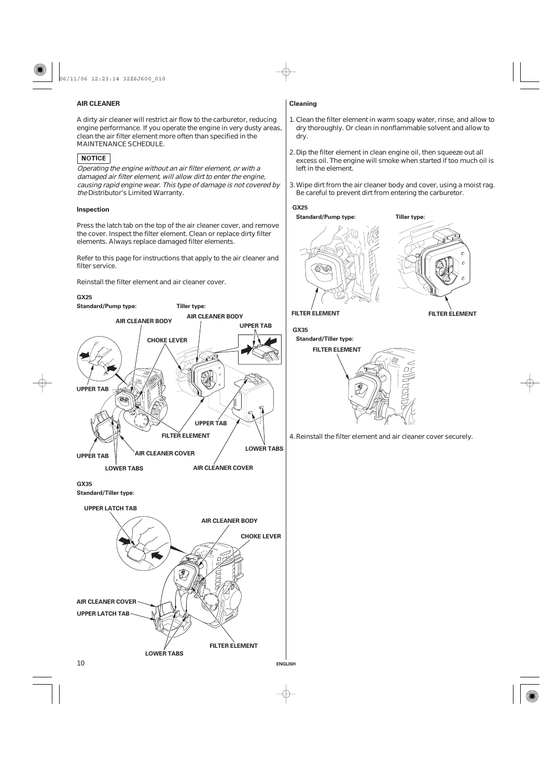06/11/06 12:23:14 32Z6J600\_010

# **AIR CLEANER Cleaning**

A dirty air cleaner will restrict air flow to the carburetor, reducing engine performance. If you operate the engine in very dusty areas, clean the air filter element more often than specified in the MAINTENANCE SCHEDULE.

# NOTICE

Operating the engine without an air filter element, or with <sup>a</sup> damaged air filter element, will allow dirt to enter the engine, causing rapid engine wear. This type of damage is not covered by the Distributor's Limited Warranty.

# **Inspection**

Press the latch tab on the top of the air cleaner cover, and remove the cover. Inspect the filter element. Clean or replace dirty filter elements. Always replace damaged filter elements.

Refer to this page for instructions that apply to the air cleaner and filter service.

Reinstall the filter element and air cleaner cover.

# **GX25**



**LOWER TABS**

- 1. Clean the filter element in warm soapy water, rinse, and allow to dry thoroughly. Or clean in nonflammable solvent and allow to dry.
- 2. Dip the filter element in clean engine oil, then squeeze out all excess oil. The engine will smoke when started if too much oil is left in the element.
- Wipe dirt from the air cleaner body and cover, using a moist rag. 3. Be careful to prevent dirt from entering the carburetor.

# **GX25**



**FILTER ELEMENT FILTER ELEMENT**

**GX35**

**ENGLISH**



4. Reinstall the filter element and air cleaner cover securely.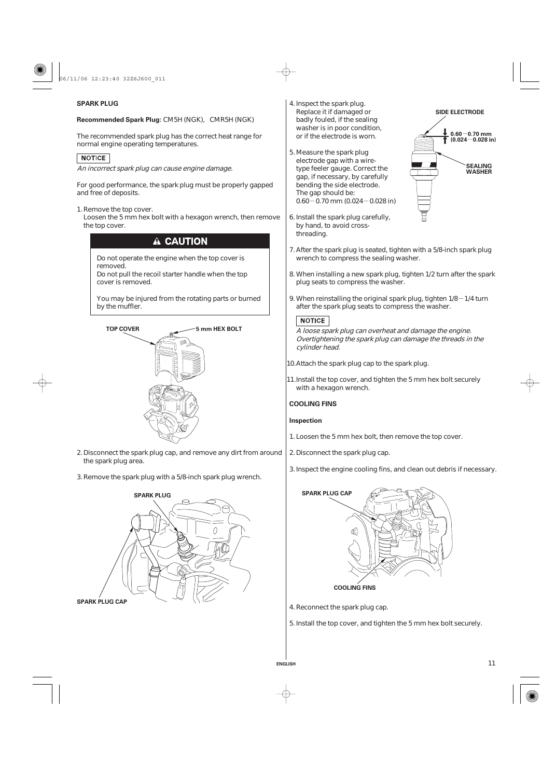

# **SPARK PLUG**

**Recommended Spark Plug:** CM5H (NGK), CMR5H (NGK)

The recommended spark plug has the correct heat range for normal engine operating temperatures.

# **NOTICE**

An incorrect spark plug can cause engine damage.

For good performance, the spark plug must be properly gapped and free of deposits.

1. Remove the top cover.

Loosen the 5 mm hex bolt with a hexagon wrench, then remove the top cover.

# A CAUTION

Do not operate the engine when the top cover is removed.

Do not pull the recoil starter handle when the top cover is removed.

You may be injured from the rotating parts or burned by the muffler.



- 2. Disconnect the spark plug cap, and remove any dirt from around the spark plug area.
- 3. Remove the spark plug with a 5/8-inch spark plug wrench.



**SPARK PLUG CAP**

- 4. Inspect the spark plug. Replace it if damaged or badly fouled, if the sealing washer is in poor condition, or if the electrode is worn.
- $0.60 0.70$  mm (0.024 $-$ 0.028 in) 5. Measure the spark plug electrode gap with a wiretype feeler gauge. Correct the gap, if necessary, by carefully bending the side electrode. The gap should be:
- 6. Install the spark plug carefully, by hand, to avoid crossthreading.



- 7. After the spark plug is seated, tighten with a 5/8-inch spark plug wrench to compress the sealing washer.
- When installing a new spark plug, tighten 1/2 turn after the spark 8. plug seats to compress the washer.
- 9. When reinstalling the original spark plug, tighten 1/8 $-$ 1/4 turn after the spark plug seats to compress the washer.

## **NOTICE**

A loose spark plug can overheat and damage the engine. Overtightening the spark plug can damage the threads in the cylinder head.

10. Attach the spark plug cap to the spark plug.

11. Install the top cover, and tighten the 5 mm hex bolt securely with a hexagon wrench.

#### **COOLING FINS**

# **Inspection**

- 1. Loosen the 5 mm hex bolt, then remove the top cover.
- 2. Disconnect the spark plug cap.
- 3. Inspect the engine cooling fins, and clean out debris if necessary.



**COOLING FINS**

4. Reconnect the spark plug cap.

**ENGLISH**

5. Install the top cover, and tighten the 5 mm hex bolt securely.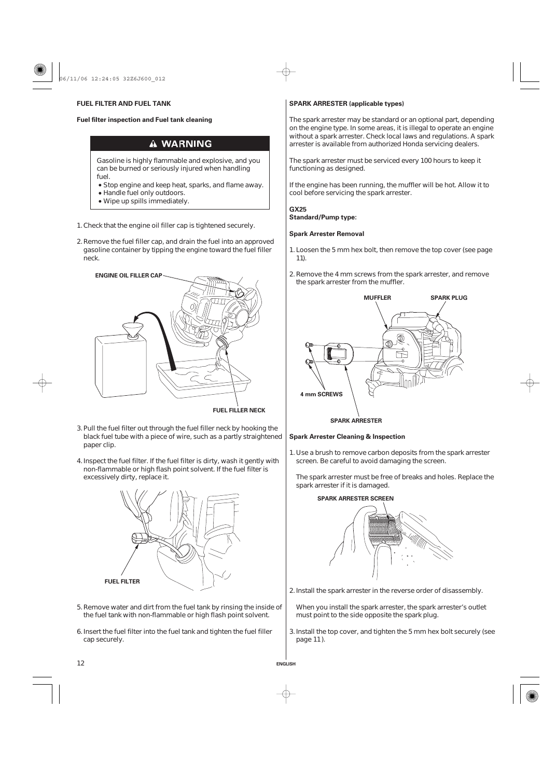**Fuel filter inspection and Fuel tank cleaning**

# **A WARNING**

Gasoline is highly flammable and explosive, and you can be burned or seriously injured when handling fuel.

- Handle fuel only outdoors. Stop engine and keep heat, sparks, and flame away.
- Wipe up spills immediately.

1. Check that the engine oil filler cap is tightened securely.

2. Remove the fuel filler cap, and drain the fuel into an approved gasoline container by tipping the engine toward the fuel filler neck.



**FUEL FILLER NECK**

**ENGLISH**

- 3. Pull the fuel filter out through the fuel filler neck by hooking the black fuel tube with a piece of wire, such as a partly straightened paper clip.
- 4. Inspect the fuel filter. If the fuel filter is dirty, wash it gently with non-flammable or high flash point solvent. If the fuel filter is excessively dirty, replace it.



- 5. Remove water and dirt from the fuel tank by rinsing the inside of the fuel tank with non-flammable or high flash point solvent.
- 6. Insert the fuel filter into the fuel tank and tighten the fuel filler cap securely.

# **FUEL FILTER AND FUEL TANK SPARK ARRESTER** (applicable types)

The spark arrester may be standard or an optional part, depending on the engine type. In some areas, it is illegal to operate an engine without a spark arrester. Check local laws and regulations. A spark arrester is available from authorized Honda servicing dealers.

The spark arrester must be serviced every 100 hours to keep it functioning as designed.

If the engine has been running, the muffler will be hot. Allow it to cool before servicing the spark arrester.

#### **GX25**

**Standard/Pump type:**

#### **Spark Arrester Removal**

- 1. Loosen the 5 mm hex bolt, then remove the top cover (see page 11).
- 2. Remove the 4 mm screws from the spark arrester, and remove the spark arrester from the muffler.



#### **SPARK ARRESTER**

#### **Spark Arrester Cleaning & Inspection**

1. Use a brush to remove carbon deposits from the spark arrester screen. Be careful to avoid damaging the screen.

The spark arrester must be free of breaks and holes. Replace the spark arrester if it is damaged.

**SPARK ARRESTER SCREEN**

- 2. Install the spark arrester in the reverse order of disassembly.
- When you install the spark arrester, the spark arrester's outlet must point to the side opposite the spark plug.
- 3. Install the top cover, and tighten the 5 mm hex bolt securely (see page 11).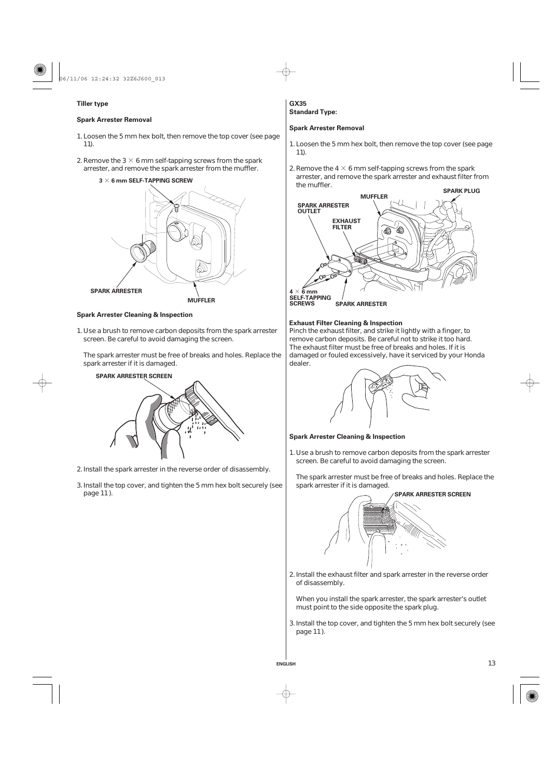

# **Tiller type**

# **Spark Arrester Removal**

- 1. Loosen the 5 mm hex bolt, then remove the top cover (see page 11).
- 2. Remove the 3  $\times$  6 mm self-tapping screws from the spark arrester, and remove the spark arrester from the muffler.



# **Spark Arrester Cleaning & Inspection**

1. Use a brush to remove carbon deposits from the spark arrester screen. Be careful to avoid damaging the screen.

The spark arrester must be free of breaks and holes. Replace the spark arrester if it is damaged.



2. Install the spark arrester in the reverse order of disassembly.

3. Install the top cover, and tighten the 5 mm hex bolt securely (see page 11).

#### **Standard Type: GX35**

#### **Spark Arrester Removal**

- 1. Loosen the 5 mm hex bolt, then remove the top cover (see page 11).
- 2. Remove the 4  $\times$  6 mm self-tapping screws from the spark arrester, and remove the spark arrester and exhaust filter from the muffler.



# **Exhaust Filter Cleaning & Inspection**

Pinch the exhaust filter, and strike it lightly with a finger, to remove carbon deposits. Be careful not to strike it too hard. The exhaust filter must be free of breaks and holes. If it is damaged or fouled excessively, have it serviced by your Honda dealer.



#### **Spark Arrester Cleaning & Inspection**

**ENGLISH**

1. Use a brush to remove carbon deposits from the spark arrester screen. Be careful to avoid damaging the screen.

The spark arrester must be free of breaks and holes. Replace the spark arrester if it is damaged.



2. Install the exhaust filter and spark arrester in the reverse order of disassembly.

When you install the spark arrester, the spark arrester's outlet must point to the side opposite the spark plug.

3. Install the top cover, and tighten the 5 mm hex bolt securely (see page 11).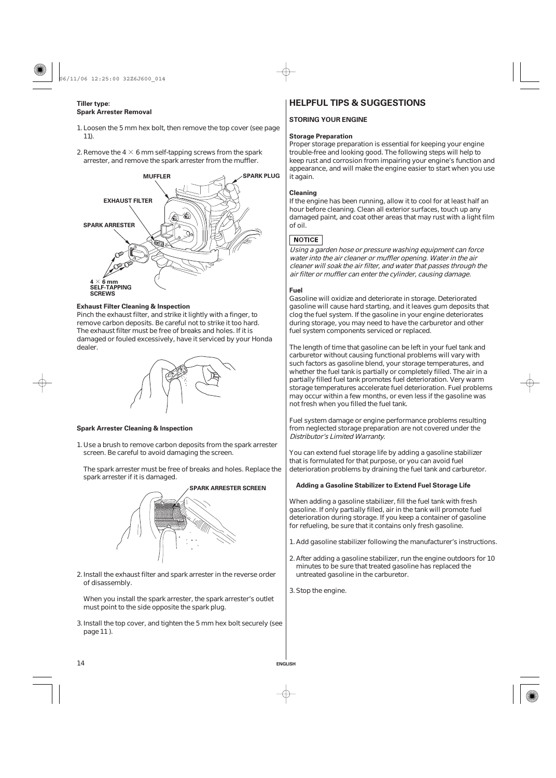# **Tiller type: Spark Arrester Removal**

- 1. Loosen the 5 mm hex bolt, then remove the top cover (see page 11).
- 2. Remove the 4  $\times$  6 mm self-tapping screws from the spark arrester, and remove the spark arrester from the muffler.



#### **Exhaust Filter Cleaning & Inspection**

Pinch the exhaust filter, and strike it lightly with a finger, to remove carbon deposits. Be careful not to strike it too hard. The exhaust filter must be free of breaks and holes. If it is damaged or fouled excessively, have it serviced by your Honda dealer.



# **Spark Arrester Cleaning & Inspection**

1. Use a brush to remove carbon deposits from the spark arrester screen. Be careful to avoid damaging the screen.

The spark arrester must be free of breaks and holes. Replace the spark arrester if it is damaged.



- 2. Install the exhaust filter and spark arrester in the reverse order of disassembly.
- When you install the spark arrester, the spark arrester's outlet must point to the side opposite the spark plug.
- 3. Install the top cover, and tighten the 5 mm hex bolt securely (see page 11).

# **HELPFUL TIPS & SUGGESTIONS**

## **STORING YOUR ENGINE**

#### **Storage Preparation**

Proper storage preparation is essential for keeping your engine trouble-free and looking good. The following steps will help to keep rust and corrosion from impairing your engine's function and appearance, and will make the engine easier to start when you use it again.

#### **Cleaning**

If the engine has been running, allow it to cool for at least half an hour before cleaning. Clean all exterior surfaces, touch up any damaged paint, and coat other areas that may rust with a light film of oil.

# **NOTICE**

Using <sup>a</sup> garden hose or pressure washing equipment can force water into the air cleaner or muffler opening. Water in the air cleaner will soak the air filter, and water that passes through the air filter or muffler can enter the cylinder, causing damage.

## **Fuel**

Gasoline will oxidize and deteriorate in storage. Deteriorated gasoline will cause hard starting, and it leaves gum deposits that clog the fuel system. If the gasoline in your engine deteriorates during storage, you may need to have the carburetor and other fuel system components serviced or replaced.

The length of time that gasoline can be left in your fuel tank and carburetor without causing functional problems will vary with such factors as gasoline blend, your storage temperatures, and whether the fuel tank is partially or completely filled. The air in a partially filled fuel tank promotes fuel deterioration. Very warm storage temperatures accelerate fuel deterioration. Fuel problems may occur within a few months, or even less if the gasoline was not fresh when you filled the fuel tank.

Fuel system damage or engine performance problems resulting from neglected storage preparation are not covered under the Distributor's Limited Warranty.

You can extend fuel storage life by adding a gasoline stabilizer that is formulated for that purpose, or you can avoid fuel deterioration problems by draining the fuel tank and carburetor.

# **Adding a Gasoline Stabilizer to Extend Fuel Storage Life**

When adding a gasoline stabilizer, fill the fuel tank with fresh gasoline. If only partially filled, air in the tank will promote fuel deterioration during storage. If you keep a container of gasoline for refueling, be sure that it contains only fresh gasoline.

- 1. Add gasoline stabilizer following the manufacturer's instructions.
- After adding a gasoline stabilizer, run the engine outdoors for 10 2. minutes to be sure that treated gasoline has replaced the untreated gasoline in the carburetor.
- Stop the engine. 3.

**ENGLISH**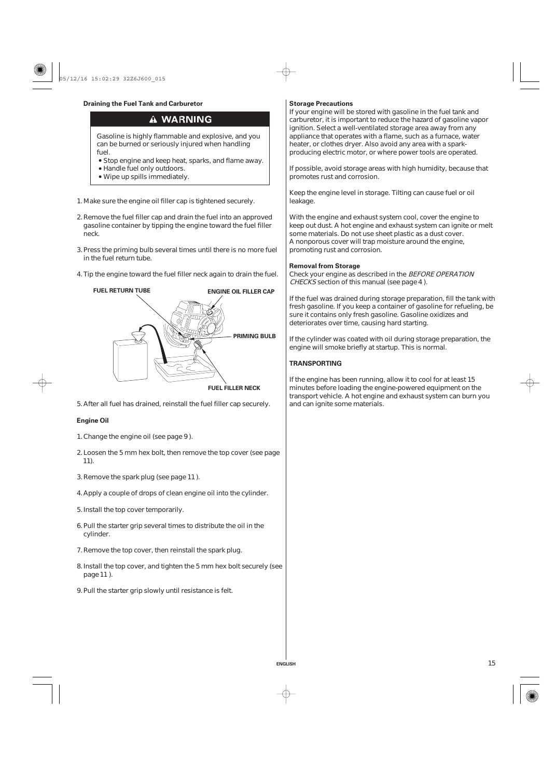# **Draining the Fuel Tank and Carburetor Storage Precautions Storage Precautions**

# **A WARNING**

Gasoline is highly flammable and explosive, and you can be burned or seriously injured when handling fuel

- Stop engine and keep heat, sparks, and flame away.
- Handle fuel only outdoors.
- Wipe up spills immediately.
- 1. Make sure the engine oil filler cap is tightened securely.
- 2. Remove the fuel filler cap and drain the fuel into an approved gasoline container by tipping the engine toward the fuel filler neck.
- 3. Press the priming bulb several times until there is no more fuel in the fuel return tube.
- 4. Tip the engine toward the fuel filler neck again to drain the fuel.



5. After all fuel has drained, reinstall the fuel filler cap securely.

# **Engine Oil**

- 1. Change the engine oil (see page 9).
- Loosen the 5 mm hex bolt, then remove the top cover (see page 2. ). 11
- 3. Remove the spark plug (see page 11).
- 4. Apply a couple of drops of clean engine oil into the cylinder.
- 5. Install the top cover temporarily.
- 6. Pull the starter grip several times to distribute the oil in the cylinder.
- 7. Remove the top cover, then reinstall the spark plug.
- 8. Install the top cover, and tighten the 5 mm hex bolt securely (see page 11).
- 9. Pull the starter grip slowly until resistance is felt.

If your engine will be stored with gasoline in the fuel tank and carburetor, it is important to reduce the hazard of gasoline vapor ignition. Select a well-ventilated storage area away from any appliance that operates with a flame, such as a furnace, water heater, or clothes dryer. Also avoid any area with a sparkproducing electric motor, or where power tools are operated.

If possible, avoid storage areas with high humidity, because that promotes rust and corrosion.

Keep the engine level in storage. Tilting can cause fuel or oil leakage.

With the engine and exhaust system cool, cover the engine to keep out dust. A hot engine and exhaust system can ignite or melt some materials. Do not use sheet plastic as a dust cover. A nonporous cover will trap moisture around the engine, promoting rust and corrosion.

#### **Removal from Storage**

Check your engine as described in the BEFORE OPERATION CHECKS section of this manual (see page 4).

If the fuel was drained during storage preparation, fill the tank with fresh gasoline. If you keep a container of gasoline for refueling, be sure it contains only fresh gasoline. Gasoline oxidizes and deteriorates over time, causing hard starting.

If the cylinder was coated with oil during storage preparation, the engine will smoke briefly at startup. This is normal.

#### **TRANSPORTING**

**ENGLISH**

If the engine has been running, allow it to cool for at least 15 minutes before loading the engine-powered equipment on the transport vehicle. A hot engine and exhaust system can burn you and can ignite some materials.

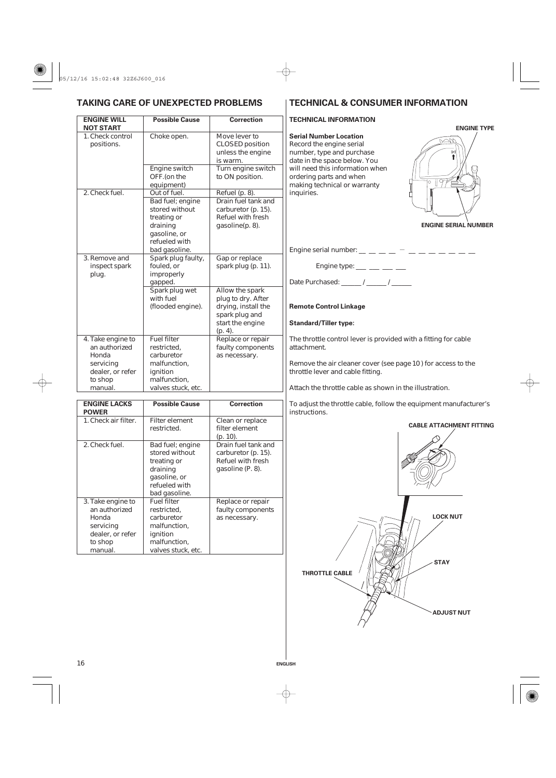# **TAKING CARE OF UNEXPECTED PROBLEMS TECHNICAL & CONSUMER INFORMATION**

#### **ENGINE WILL NOT START Possible Cause Correction Correction TECHNICAL INFORMATION** Choke open. Engine switch OFF.(on the equipment) Out of fuel. Bad fuel; engine stored without treating or draining gasoline, or refueled with bad gasoline. Spark plug faulty, fouled, or improperly gapped. Spark plug wet with fuel (flooded engine). Fuel filter restricted, carburetor malfunction, ignition malfunction, valves stuck, etc. 1. Check control positions. 2. Check fuel. 3. Remove and inspect spark plug. 4. Take engine to an authorized Honda servicing dealer, or refer to shop manual. Move lever to CLOSED position unless the engine is warm. Turn engine switch to ON position. Refuel (p. 8). Drain fuel tank and carburetor (p. 15). Refuel with fresh gasoline(p. 8). Gap or replace spark plug (p. 11). Allow the spark plug to dry. After drying, install the spark plug and start the engine (p. 4). Replace or repair faulty components as necessary.

| <b>ENGINE LACKS</b><br><b>POWER</b>                                                                | <b>Possible Cause</b>                                                                                             | <b>Correction</b>                                                                   |
|----------------------------------------------------------------------------------------------------|-------------------------------------------------------------------------------------------------------------------|-------------------------------------------------------------------------------------|
| 1. Check air filter.                                                                               | Filter element<br>restricted.                                                                                     | Clean or replace<br>filter element<br>(p. 10).                                      |
| 2. Check fuel.                                                                                     | Bad fuel; engine<br>stored without<br>treating or<br>draining<br>gasoline, or<br>refueled with<br>bad gasoline.   | Drain fuel tank and<br>carburetor (p. 15).<br>Refuel with fresh<br>gasoline (P. 8). |
| 3. Take engine to<br>an authorized<br>Honda<br>servicing<br>dealer, or refer<br>to shop<br>manual. | <b>Fuel filter</b><br>restricted,<br>carburetor<br>malfunction,<br>ignition<br>malfunction,<br>valves stuck, etc. | Replace or repair<br>faulty components<br>as necessary.                             |

**Serial Number Location** Record the engine serial number, type and purchase date in the space below. You will need this information when ordering parts and when making technical or warranty inquiries.



# **ENGINE SERIAL NUMBER**

- Engine serial number: \_\_ \_\_ \_\_ \_\_ \_\_ \_\_ \_\_ \_\_ \_\_ \_\_ \_\_

Engine type:  $\frac{1}{2}$   $\frac{1}{2}$   $\frac{1}{2}$   $\frac{1}{2}$ 

Date Purchased: \_\_\_\_\_\_ / \_\_\_\_\_ / \_\_\_\_\_\_

**Remote Control Linkage**

# **Standard/Tiller type:**

**ENGLISH**

The throttle control lever is provided with a fitting for cable attachment.

Remove the air cleaner cover (see page 10) for access to the throttle lever and cable fitting.

Attach the throttle cable as shown in the illustration.

To adjust the throttle cable, follow the equipment manufacturer's instructions.

## **CABLE ATTACHMENT FITTING**

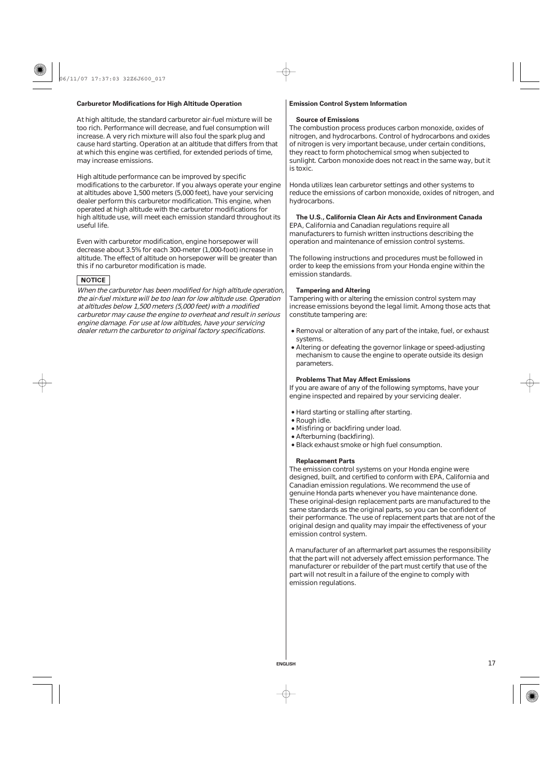# **Carburetor Modifications for High Altitude Operation | Emission Control System Information**

At high altitude, the standard carburetor air-fuel mixture will be too rich. Performance will decrease, and fuel consumption will increase. A very rich mixture will also foul the spark plug and cause hard starting. Operation at an altitude that differs from that at which this engine was certified, for extended periods of time, may increase emissions.

High altitude performance can be improved by specific modifications to the carburetor. If you always operate your engine at altitudes above 1,500 meters (5,000 feet), have your servicing dealer perform this carburetor modification. This engine, when operated at high altitude with the carburetor modifications for high altitude use, will meet each emission standard throughout its useful life.

Even with carburetor modification, engine horsepower will decrease about 3.5% for each 300-meter (1,000-foot) increase in altitude. The effect of altitude on horsepower will be greater than this if no carburetor modification is made.

# **NOTICE**

When the carburetor has been modified for high altitude operation, the air-fuel mixture will be too lean for low altitude use. Operation at altitudes below 1,500 meters (5,000 feet) with <sup>a</sup> modified carburetor may cause the engine to overheat and result in serious engine damage. For use at low altitudes, have your servicing dealer return the carburetor to original factory specifications.

#### **Source of Emissions**

The combustion process produces carbon monoxide, oxides of nitrogen, and hydrocarbons. Control of hydrocarbons and oxides of nitrogen is very important because, under certain conditions, they react to form photochemical smog when subjected to sunlight. Carbon monoxide does not react in the same way, but it is toxic.

Honda utilizes lean carburetor settings and other systems to reduce the emissions of carbon monoxide, oxides of nitrogen, and hydrocarbons.

# **The U.S., California Clean Air Acts and Environment Canada**

EPA, California and Canadian regulations require all manufacturers to furnish written instructions describing the operation and maintenance of emission control systems.

The following instructions and procedures must be followed in order to keep the emissions from your Honda engine within the emission standards.

## **Tampering and Altering**

Tampering with or altering the emission control system may increase emissions beyond the legal limit. Among those acts that constitute tampering are:

- Removal or alteration of any part of the intake, fuel, or exhaust systems.
- Altering or defeating the governor linkage or speed-adjusting mechanism to cause the engine to operate outside its design parameters.

#### **Problems That May Affect Emissions**

If you are aware of any of the following symptoms, have your engine inspected and repaired by your servicing dealer.

- Hard starting or stalling after starting.
- Rough idle.

**ENGLISH**

- Misfiring or backfiring under load.
- Afterburning (backfiring).
- Black exhaust smoke or high fuel consumption.

#### **Replacement Parts**

The emission control systems on your Honda engine were designed, built, and certified to conform with EPA, California and Canadian emission regulations. We recommend the use of genuine Honda parts whenever you have maintenance done. These original-design replacement parts are manufactured to the same standards as the original parts, so you can be confident of their performance. The use of replacement parts that are not of the original design and quality may impair the effectiveness of your emission control system.

A manufacturer of an aftermarket part assumes the responsibility that the part will not adversely affect emission performance. The manufacturer or rebuilder of the part must certify that use of the part will not result in a failure of the engine to comply with emission regulations.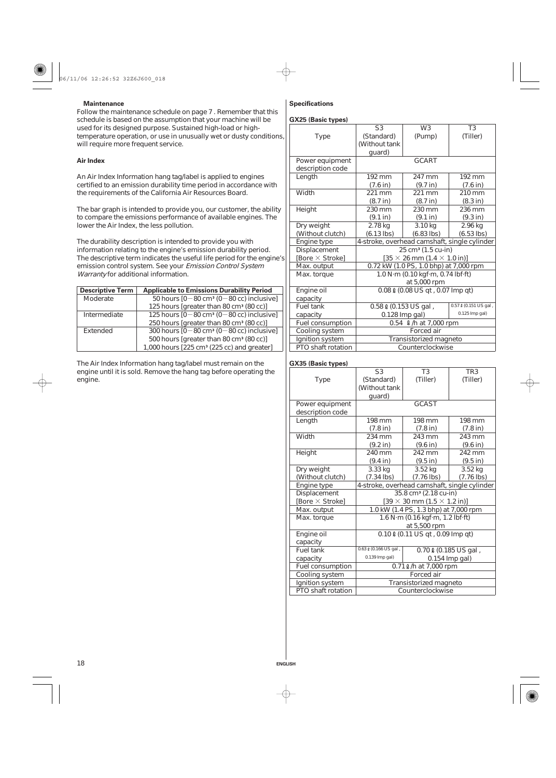# **Maintenance Specifications**

Follow the maintenance schedule on page 7 . Remember that this schedule is based on the assumption that your machine will be used for its designed purpose. Sustained high-load or hightemperature operation, or use in unusually wet or dusty conditions, will require more frequent service. 7

# **Air Index**

An Air Index Information hang tag/label is applied to engines certified to an emission durability time period in accordance with the requirements of the California Air Resources Board.

The bar graph is intended to provide you, our customer, the ability to compare the emissions performance of available engines. The lower the Air Index, the less pollution.

The durability description is intended to provide you with information relating to the engine's emission durability period. The descriptive term indicates the useful life period for the engine's emission control system. See your Emission Control System Warranty for additional information.

| <b>Descriptive Term</b> | <b>Applicable to Emissions Durability Period</b>                |
|-------------------------|-----------------------------------------------------------------|
| Moderate                | 50 hours $[0-80 \text{ cm}^3 (0-80 \text{ cc})$ inclusive]      |
|                         | 125 hours [greater than 80 cm <sup>3</sup> (80 cc)]             |
| Intermediate            | 125 hours $[0 - 80 \text{ cm}^3 (0 - 80 \text{ cc})$ inclusive] |
|                         | 250 hours [greater than 80 cm <sup>3</sup> (80 cc)]             |
| Extended                | 300 hours $[0 - 80 \text{ cm}^3 (0 - 80 \text{ cc})$ inclusive] |
|                         | 500 hours [greater than 80 cm <sup>3</sup> (80 cc)]             |
|                         | 1,000 hours [225 cm <sup>3</sup> (225 cc) and greater]          |

The Air Index Information hang tag/label must remain on the engine until it is sold. Remove the hang tag before operating the engine.

# **GX25 (Basic types)**

|                    | S <sub>3</sub>     | W <sub>3</sub>                                           | T <sub>3</sub>        |  |  |
|--------------------|--------------------|----------------------------------------------------------|-----------------------|--|--|
| <b>Type</b>        | (Standard)         | (Pump)                                                   | (Tiller)              |  |  |
|                    | (Without tank      |                                                          |                       |  |  |
|                    | guard)             |                                                          |                       |  |  |
| Power equipment    |                    | <b>GCART</b>                                             |                       |  |  |
| description code   |                    |                                                          |                       |  |  |
| Length             | 192 mm             | 247 mm                                                   | 192 mm                |  |  |
|                    | $(7.6 \text{ in})$ | (9.7 in)                                                 | (7.6 in)              |  |  |
| Width              | 221 mm             | 221 mm                                                   | 210 mm                |  |  |
|                    | (8.7 in)           | (8.7 in)                                                 | (8.3 in)              |  |  |
| Height             | 230 mm             | 230 mm                                                   | 236 mm                |  |  |
|                    | (9.1 in)           | (9.1 in)                                                 | (9.3 in)              |  |  |
| Dry weight         | 2.78 kg            | 3.10 kg                                                  | 2.96 kg               |  |  |
| (Without clutch)   | $(6.13$ lbs)       | $(6.83$ lbs)                                             | $(6.53$ lbs)          |  |  |
| Engine type        |                    | 4-stroke, overhead camshaft, single cylinder             |                       |  |  |
| Displacement       |                    | $25 \text{ cm}^3$ (1.5 cu-in)                            |                       |  |  |
| [Bore × Stroke]    |                    | $[35 \times 26 \text{ mm } (1.4 \times 1.0 \text{ in})]$ |                       |  |  |
| Max. output        |                    | 0.72 kW (1.0 PS, 1.0 bhp) at 7,000 rpm                   |                       |  |  |
| Max. torque        |                    | 1.0 N·m (0.10 kgf·m, 0.74 lbf·ft)                        |                       |  |  |
|                    |                    | at 5,000 rpm                                             |                       |  |  |
| Engine oil         |                    | 0.08 0 (0.08 US qt, 0.07 Imp qt)                         |                       |  |  |
| capacity           |                    |                                                          |                       |  |  |
| Fuel tank          |                    | 0.58 0 (0.153 US gal,                                    | 0.57 & (0.151 US gal, |  |  |
| capacity           |                    | 0.128 Imp gal)                                           | 0.125 Imp gal)        |  |  |
| Fuel consumption   |                    | 0.54 0/h at 7,000 rpm                                    |                       |  |  |
| Cooling system     |                    | Forced air                                               |                       |  |  |
| Ignition system    |                    | Transistorized magneto                                   |                       |  |  |
| PTO shaft rotation | Counterclockwise   |                                                          |                       |  |  |

# **GX35 (Basic types)**

|                        | S <sub>3</sub>                                 | T3                                                       | TR <sub>3</sub>    |  |  |
|------------------------|------------------------------------------------|----------------------------------------------------------|--------------------|--|--|
| <b>Type</b>            | (Standard)                                     | (Tiller)                                                 | (Tiller)           |  |  |
|                        | (Without tank                                  |                                                          |                    |  |  |
|                        | guard)                                         |                                                          |                    |  |  |
| Power equipment        |                                                | <b>GCAST</b>                                             |                    |  |  |
| description code       |                                                |                                                          |                    |  |  |
| Length                 | 198 mm                                         | 198 mm                                                   | 198 mm             |  |  |
|                        | (7.8 in)                                       | (7.8 in)                                                 | $(7.8 \text{ in})$ |  |  |
| Width                  | 234 mm                                         | 243 mm                                                   | 243 mm             |  |  |
|                        | (9.2 in)                                       | (9.6 in)                                                 | (9.6 in)           |  |  |
| Height                 | 240 mm                                         | 242 mm                                                   | 242 mm             |  |  |
|                        | $(9.4 \text{ in})$                             | (9.5 in)                                                 | (9.5 in)           |  |  |
| Dry weight             | 3.33 kg                                        | 3.52 kg                                                  | 3.52 kg            |  |  |
| (Without clutch)       | (7.34 lbs)                                     | $(7.76$ lbs)                                             | $(7.76$ lbs)       |  |  |
| Engine type            |                                                | 4-stroke, overhead camshaft, single cylinder             |                    |  |  |
| Displacement           |                                                | 35.8 cm <sup>3</sup> (2.18 cu-in)                        |                    |  |  |
| [Bore $\times$ Stroke] |                                                | $[39 \times 30 \text{ mm } (1.5 \times 1.2 \text{ in})]$ |                    |  |  |
| Max. output            |                                                | 1.0 kW (1.4 PS, 1.3 bhp) at 7,000 rpm                    |                    |  |  |
| Max. torque            |                                                | 1.6 N·m (0.16 kgf·m, 1.2 lbf·ft)                         |                    |  |  |
|                        |                                                | at 5,500 rpm                                             |                    |  |  |
| Engine oil             |                                                | 0.10 0 (0.11 US qt, 0.09 lmp qt)                         |                    |  |  |
| capacity               |                                                |                                                          |                    |  |  |
| <b>Fuel tank</b>       | 0.63 0 (0.166 US gal,<br>0.70 0 (0.185 US gal, |                                                          |                    |  |  |
| capacity               | 0.139 Imp gal)<br>0.154 Imp gal)               |                                                          |                    |  |  |
| Fuel consumption       |                                                | 0.71 0/h at 7,000 rpm                                    |                    |  |  |
| Cooling system         |                                                | Forced air                                               |                    |  |  |
| Ignition system        | Transistorized magneto                         |                                                          |                    |  |  |
| PTO shaft rotation     | Counterclockwise                               |                                                          |                    |  |  |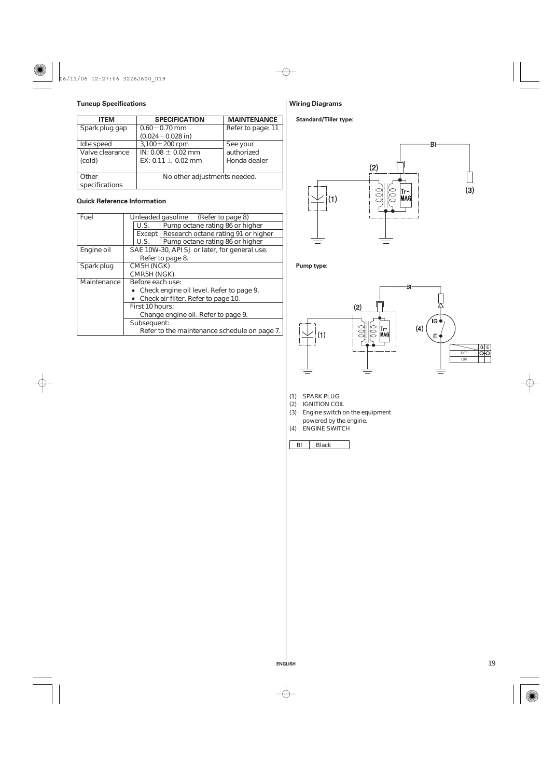

# **Tuneup Specifications**

| <b>ITEM</b>     | <b>SPECIFICATION</b>         | <b>MAINTENANCE</b> |
|-----------------|------------------------------|--------------------|
| Spark plug gap  | $0.60 - 0.70$ mm             | Refer to page: 11  |
|                 | $(0.024 - 0.028$ in)         |                    |
| Idle speed      | 3,100 $\pm$ 200 rpm          | See your           |
| Valve clearance | IN: 0.08 $\pm$ 0.02 mm       | authorized         |
| (cold)          | EX: 0.11 $\pm$ 0.02 mm       | Honda dealer       |
|                 |                              |                    |
| Other           | No other adjustments needed. |                    |
| specifications  |                              |                    |

# **Quick Reference Information**

| Pump octane rating 86 or higher               |  |  |
|-----------------------------------------------|--|--|
| Except   Research octane rating 91 or higher  |  |  |
| Pump octane rating 86 or higher               |  |  |
| SAE 10W-30, API SJ or later, for general use. |  |  |
|                                               |  |  |
|                                               |  |  |
|                                               |  |  |
|                                               |  |  |
| • Check engine oil level. Refer to page 9.    |  |  |
| • Check air filter. Refer to page 10.         |  |  |
|                                               |  |  |
|                                               |  |  |
|                                               |  |  |
| Refer to the maintenance schedule on page 7.  |  |  |
|                                               |  |  |



# **Wiring Diagrams**

# **Standard/Tiller type:**



# **Pump type:**





SPARK PLUG (1)

- (2) IGNITION COIL
- Engine switch on the equipment (3)

powered by the engine.

ENGINE SWITCH (4)

Bl Black

**ENGLISH**

 $\phi$